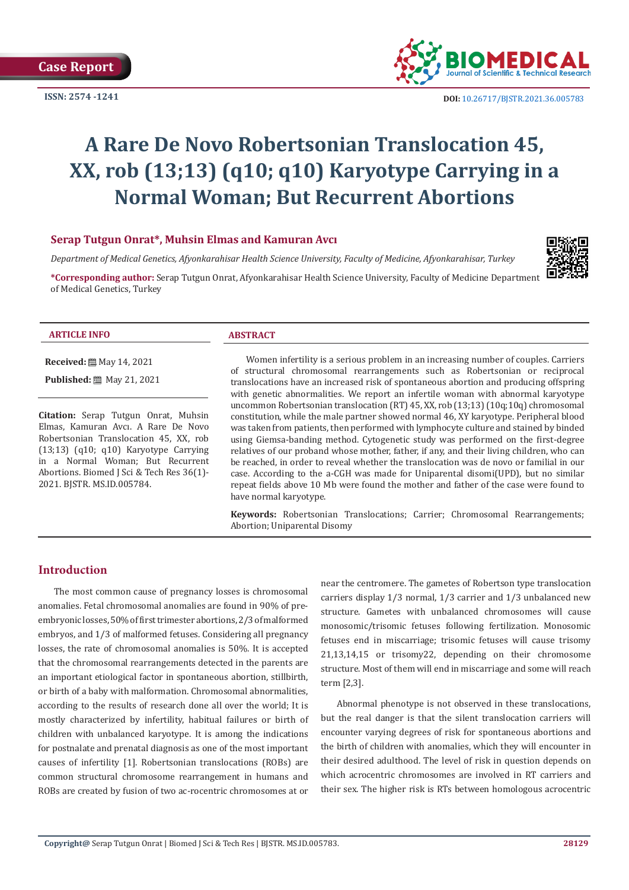**Case Report**

**ISSN: 2574 -1241**



 **DOI:** [10.26717/BJSTR.2021.36.005783](http://dx.doi.org/10.26717/BJSTR.2021.36.005783)

# **A Rare De Novo Robertsonian Translocation 45, XX, rob (13;13) (q10; q10) Karyotype Carrying in a Normal Woman; But Recurrent Abortions**

# **Serap Tutgun Onrat\*, Muhsin Elmas and Kamuran Avcı**

*Department of Medical Genetics, Afyonkarahisar Health Science University, Faculty of Medicine, Afyonkarahisar, Turkey*

**\*Corresponding author:** Serap Tutgun Onrat, Afyonkarahisar Health Science University, Faculty of Medicine Department of Medical Genetics, Turkey



#### **ARTICLE INFO ABSTRACT**

**Received:** 圖 May 14, 2021

**Published:** ■ May 21, 2021

**Citation:** Serap Tutgun Onrat, Muhsin Elmas, Kamuran Avcı. A Rare De Novo Robertsonian Translocation 45, XX, rob (13;13) (q10; q10) Karyotype Carrying in a Normal Woman; But Recurrent Abortions. Biomed J Sci & Tech Res 36(1)- 2021. BJSTR. MS.ID.005784.

Women infertility is a serious problem in an increasing number of couples. Carriers of structural chromosomal rearrangements such as Robertsonian or reciprocal translocations have an increased risk of spontaneous abortion and producing offspring with genetic abnormalities. We report an infertile woman with abnormal karyotype uncommon Robertsonian translocation (RT) 45, XX, rob (13;13) (10q;10q) chromosomal constitution, while the male partner showed normal 46, XY karyotype. Peripheral blood was taken from patients, then performed with lymphocyte culture and stained by binded using Giemsa-banding method. Cytogenetic study was performed on the first-degree relatives of our proband whose mother, father, if any, and their living children, who can be reached, in order to reveal whether the translocation was de novo or familial in our case. According to the a-CGH was made for Uniparental disomi(UPD), but no similar repeat fields above 10 Mb were found the mother and father of the case were found to have normal karyotype.

**Keywords:** Robertsonian Translocations; Carrier; Chromosomal Rearrangements; Abortion; Uniparental Disomy

# **Introduction**

The most common cause of pregnancy losses is chromosomal anomalies. Fetal chromosomal anomalies are found in 90% of preembryonic losses, 50% of first trimester abortions, 2/3 of malformed embryos, and 1/3 of malformed fetuses. Considering all pregnancy losses, the rate of chromosomal anomalies is 50%. It is accepted that the chromosomal rearrangements detected in the parents are an important etiological factor in spontaneous abortion, stillbirth, or birth of a baby with malformation. Chromosomal abnormalities, according to the results of research done all over the world; It is mostly characterized by infertility, habitual failures or birth of children with unbalanced karyotype. It is among the indications for postnalate and prenatal diagnosis as one of the most important causes of infertility [1]. Robertsonian translocations (ROBs) are common structural chromosome rearrangement in humans and ROBs are created by fusion of two ac-rocentric chromosomes at or

near the centromere. The gametes of Robertson type translocation carriers display 1/3 normal, 1/3 carrier and 1/3 unbalanced new structure. Gametes with unbalanced chromosomes will cause monosomic/trisomic fetuses following fertilization. Monosomic fetuses end in miscarriage; trisomic fetuses will cause trisomy 21,13,14,15 or trisomy22, depending on their chromosome structure. Most of them will end in miscarriage and some will reach term [2,3].

Abnormal phenotype is not observed in these translocations, but the real danger is that the silent translocation carriers will encounter varying degrees of risk for spontaneous abortions and the birth of children with anomalies, which they will encounter in their desired adulthood. The level of risk in question depends on which acrocentric chromosomes are involved in RT carriers and their sex. The higher risk is RTs between homologous acrocentric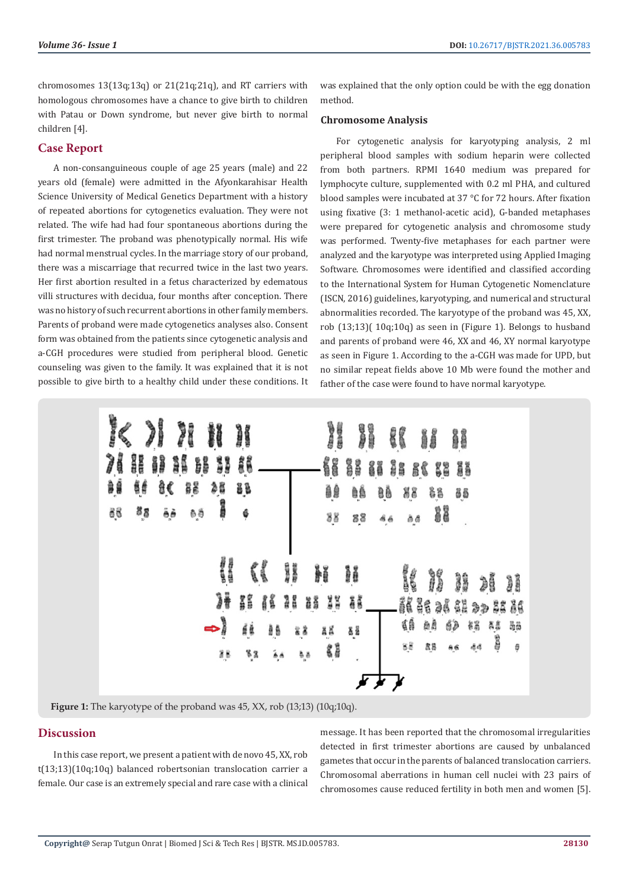chromosomes 13(13q;13q) or 21(21q;21q), and RT carriers with homologous chromosomes have a chance to give birth to children with Patau or Down syndrome, but never give birth to normal children [4].

# **Case Report**

A non-consanguineous couple of age 25 years (male) and 22 years old (female) were admitted in the Afyonkarahisar Health Science University of Medical Genetics Department with a history of repeated abortions for cytogenetics evaluation. They were not related. The wife had had four spontaneous abortions during the first trimester. The proband was phenotypically normal. His wife had normal menstrual cycles. In the marriage story of our proband, there was a miscarriage that recurred twice in the last two years. Her first abortion resulted in a fetus characterized by edematous villi structures with decidua, four months after conception. There was no history of such recurrent abortions in other family members. Parents of proband were made cytogenetics analyses also. Consent form was obtained from the patients since cytogenetic analysis and a-CGH procedures were studied from peripheral blood. Genetic counseling was given to the family. It was explained that it is not possible to give birth to a healthy child under these conditions. It was explained that the only option could be with the egg donation method.

#### **Chromosome Analysis**

For cytogenetic analysis for karyotyping analysis, 2 ml peripheral blood samples with sodium heparin were collected from both partners. RPMI 1640 medium was prepared for lymphocyte culture, supplemented with 0.2 ml PHA, and cultured blood samples were incubated at 37 °C for 72 hours. After fixation using fixative (3: 1 methanol-acetic acid), G-banded metaphases were prepared for cytogenetic analysis and chromosome study was performed. Twenty-five metaphases for each partner were analyzed and the karyotype was interpreted using Applied Imaging Software. Chromosomes were identified and classified according to the International System for Human Cytogenetic Nomenclature (ISCN, 2016) guidelines, karyotyping, and numerical and structural abnormalities recorded. The karyotype of the proband was 45, XX, rob (13;13)( 10q;10q) as seen in (Figure 1). Belongs to husband and parents of proband were 46, XX and 46, XY normal karyotype as seen in Figure 1. According to the a-CGH was made for UPD, but no similar repeat fields above 10 Mb were found the mother and father of the case were found to have normal karyotype.



# **Discussion**

In this case report, we present a patient with de novo 45, XX, rob t(13;13)(10q;10q) balanced robertsonian translocation carrier a female. Our case is an extremely special and rare case with a clinical

message. It has been reported that the chromosomal irregularities detected in first trimester abortions are caused by unbalanced gametes that occur in the parents of balanced translocation carriers. Chromosomal aberrations in human cell nuclei with 23 pairs of chromosomes cause reduced fertility in both men and women [5].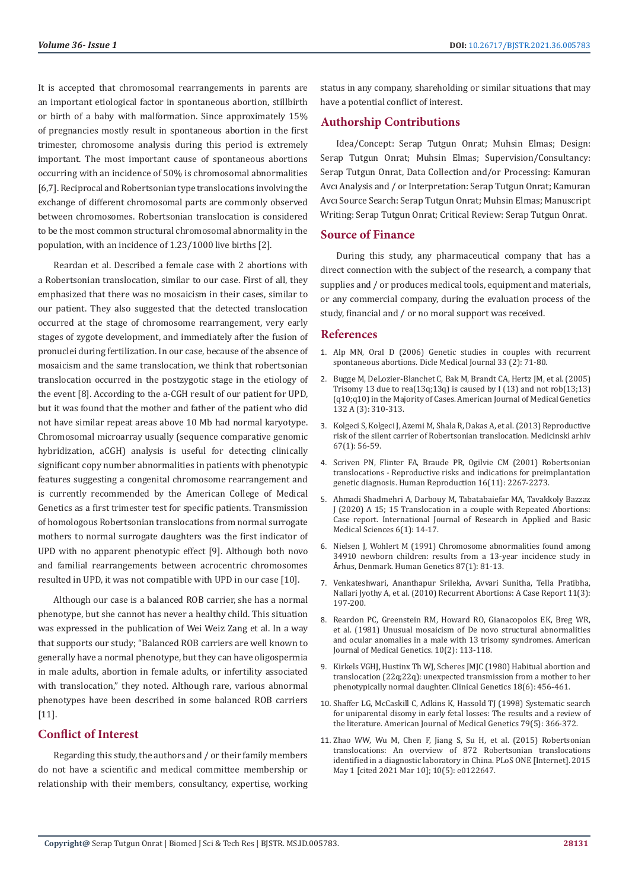It is accepted that chromosomal rearrangements in parents are an important etiological factor in spontaneous abortion, stillbirth or birth of a baby with malformation. Since approximately 15% of pregnancies mostly result in spontaneous abortion in the first trimester, chromosome analysis during this period is extremely important. The most important cause of spontaneous abortions occurring with an incidence of 50% is chromosomal abnormalities [6,7]. Reciprocal and Robertsonian type translocations involving the exchange of different chromosomal parts are commonly observed between chromosomes. Robertsonian translocation is considered to be the most common structural chromosomal abnormality in the population, with an incidence of 1.23/1000 live births [2].

Reardan et al. Described a female case with 2 abortions with a Robertsonian translocation, similar to our case. First of all, they emphasized that there was no mosaicism in their cases, similar to our patient. They also suggested that the detected translocation occurred at the stage of chromosome rearrangement, very early stages of zygote development, and immediately after the fusion of pronuclei during fertilization. In our case, because of the absence of mosaicism and the same translocation, we think that robertsonian translocation occurred in the postzygotic stage in the etiology of the event [8]. According to the a-CGH result of our patient for UPD, but it was found that the mother and father of the patient who did not have similar repeat areas above 10 Mb had normal karyotype. Chromosomal microarray usually (sequence comparative genomic hybridization, aCGH) analysis is useful for detecting clinically significant copy number abnormalities in patients with phenotypic features suggesting a congenital chromosome rearrangement and is currently recommended by the American College of Medical Genetics as a first trimester test for specific patients. Transmission of homologous Robertsonian translocations from normal surrogate mothers to normal surrogate daughters was the first indicator of UPD with no apparent phenotypic effect [9]. Although both novo and familial rearrangements between acrocentric chromosomes resulted in UPD, it was not compatible with UPD in our case [10].

Although our case is a balanced ROB carrier, she has a normal phenotype, but she cannot has never a healthy child. This situation was expressed in the publication of Wei Weiz Zang et al. In a way that supports our study; "Balanced ROB carriers are well known to generally have a normal phenotype, but they can have oligospermia in male adults, abortion in female adults, or infertility associated with translocation," they noted. Although rare, various abnormal phenotypes have been described in some balanced ROB carriers [11].

# **Conflict of Interest**

Regarding this study, the authors and / or their family members do not have a scientific and medical committee membership or relationship with their members, consultancy, expertise, working status in any company, shareholding or similar situations that may have a potential conflict of interest.

# **Authorship Contributions**

Idea/Concept: Serap Tutgun Onrat; Muhsin Elmas; Design: Serap Tutgun Onrat; Muhsin Elmas; Supervision/Consultancy: Serap Tutgun Onrat, Data Collection and/or Processing: Kamuran Avcı Analysis and / or Interpretation: Serap Tutgun Onrat; Kamuran Avcı Source Search: Serap Tutgun Onrat; Muhsin Elmas; Manuscript Writing: Serap Tutgun Onrat; Critical Review: Serap Tutgun Onrat.

# **Source of Finance**

During this study, any pharmaceutical company that has a direct connection with the subject of the research, a company that supplies and / or produces medical tools, equipment and materials, or any commercial company, during the evaluation process of the study, financial and / or no moral support was received.

#### **References**

- 1. Alp MN, Oral D (2006) Genetic studies in couples with recurrent spontaneous abortions. Dicle Medical Journal 33 (2): 71-80.
- 2. [Bugge M, DeLozier-Blanchet C, Bak M, Brandt CA, Hertz JM, et al. \(2005\)](https://pubmed.ncbi.nlm.nih.gov/15690377/) Trisomy 13 due to rea $(13q;13q)$  is caused by I  $(13)$  and not rob $(13;13)$ [\(q10;q10\) in the Majority of Cases. American Journal of Medical Genetics](https://pubmed.ncbi.nlm.nih.gov/15690377/) [132 A \(3\): 310-313.](https://pubmed.ncbi.nlm.nih.gov/15690377/)
- 3. [Kolgeci S, Kolgeci J, Azemi M, Shala R, Dakas A, et al. \(2013\) Reproductive](https://www.researchgate.net/publication/236913415_Reproductive_Risk_of_the_Silent_Carrier_of_Robertsonian_Translocation) [risk of the silent carrier of Robertsonian translocation. Medicinski arhiv](https://www.researchgate.net/publication/236913415_Reproductive_Risk_of_the_Silent_Carrier_of_Robertsonian_Translocation) [67\(1\): 56-59.](https://www.researchgate.net/publication/236913415_Reproductive_Risk_of_the_Silent_Carrier_of_Robertsonian_Translocation)
- 4. [Scriven PN, Flinter FA, Braude PR, Ogilvie CM \(2001\) Robertsonian](https://academic.oup.com/humrep/article/16/11/2267/681101) [translocations - Reproductive risks and indications for preimplantation](https://academic.oup.com/humrep/article/16/11/2267/681101) [genetic diagnosis. Human Reproduction 16\(11\): 2267-2273.](https://academic.oup.com/humrep/article/16/11/2267/681101)
- 5. [Ahmadi Shadmehri A, Darbouy M, Tabatabaiefar MA, Tavakkoly Bazzaz](http://ijrabms.umsu.ac.ir/article-1-92-fa.pdf) [J \(2020\) A 15; 15 Translocation in a couple with Repeated Abortions:](http://ijrabms.umsu.ac.ir/article-1-92-fa.pdf) [Case report. International Journal of Research in Applied and Basic](http://ijrabms.umsu.ac.ir/article-1-92-fa.pdf) [Medical Sciences 6\(1\): 14-17.](http://ijrabms.umsu.ac.ir/article-1-92-fa.pdf)
- 6. [Nielsen J, Wohlert M \(1991\) Chromosome abnormalities found among](https://pubmed.ncbi.nlm.nih.gov/2037286/) [34910 newborn children: results from a 13-year incidence study in](https://pubmed.ncbi.nlm.nih.gov/2037286/) Å[rhus, Denmark. Human Genetics 87\(1\): 81-13.](https://pubmed.ncbi.nlm.nih.gov/2037286/)
- 7. Venkateshwari, Ananthapur Srilekha, Avvari Sunitha, Tella Pratibha, Nallari Jyothy A, et al. (2010) Recurrent Abortions: A Case Report 11(3): 197-200.
- 8. [Reardon PC, Greenstein RM, Howard RO, Gianacopolos EK, Breg WR,](https://pubmed.ncbi.nlm.nih.gov/7315868/) [et al. \(1981\) Unusual mosaicism of De novo structural abnormalities](https://pubmed.ncbi.nlm.nih.gov/7315868/) [and ocular anomalies in a male with 13 trisomy syndromes. American](https://pubmed.ncbi.nlm.nih.gov/7315868/) [Journal of Medical Genetics. 10\(2\): 113-118.](https://pubmed.ncbi.nlm.nih.gov/7315868/)
- 9. [Kirkels VGHJ, Hustinx Th WJ, Scheres JMJC \(1980\) Habitual abortion and](https://pubmed.ncbi.nlm.nih.gov/7449187/) [translocation \(22q;22q\): unexpected transmission from a mother to her](https://pubmed.ncbi.nlm.nih.gov/7449187/) [phenotypically normal daughter. Clinical Genetics 18\(6\): 456-461.](https://pubmed.ncbi.nlm.nih.gov/7449187/)
- 10. [Shaffer LG, McCaskill C, Adkins K, Hassold TJ \(1998\) Systematic search](https://pubmed.ncbi.nlm.nih.gov/9779803/) [for uniparental disomy in early fetal losses: The results and a review of](https://pubmed.ncbi.nlm.nih.gov/9779803/) [the literature. American Journal of Medical Genetics 79\(5\): 366-372.](https://pubmed.ncbi.nlm.nih.gov/9779803/)
- 11. [Zhao WW, Wu M, Chen F, Jiang S, Su H, et al. \(2015\) Robertsonian](https://www.researchgate.net/publication/276474064_Robertsonian_Translocations_An_Overview_of_872_Robertsonian_Translocations_Identified_in_a_Diagnostic_Laboratory_in_China) [translocations: An overview of 872 Robertsonian translocations](https://www.researchgate.net/publication/276474064_Robertsonian_Translocations_An_Overview_of_872_Robertsonian_Translocations_Identified_in_a_Diagnostic_Laboratory_in_China) [identified in a diagnostic laboratory in China. PLoS ONE \[Internet\]. 2015](https://www.researchgate.net/publication/276474064_Robertsonian_Translocations_An_Overview_of_872_Robertsonian_Translocations_Identified_in_a_Diagnostic_Laboratory_in_China) [May 1 \[cited 2021 Mar 10\];](https://www.researchgate.net/publication/276474064_Robertsonian_Translocations_An_Overview_of_872_Robertsonian_Translocations_Identified_in_a_Diagnostic_Laboratory_in_China) 10(5): e0122647.